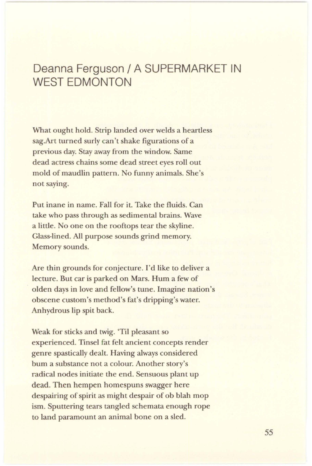## Deanna Ferguson/ A SUPERMARKET IN WEST EDMONTON

What ought hold. Strip landed over welds a heartless sag.Art turned surly can't shake figurations of a previous day. Stay away from the window. Same dead actress chains some dead street eyes roll out mold of maudlin pattern. No funny animals. She's not saying.

Put inane in name. Fall for it. Take the fluids. Can take who pass through as sedimental brains. Wave a little. No one on the rooftops tear the skyline. Glass-lined. All purpose sounds grind memory. Memory sounds.

Are thin grounds for conjecture. I'd like to deliver a lecture. But car is parked on Mars. Hum a few of olden days in love and fellow's tune. Imagine nation's obscene custom's method's fat's dripping's water. Anhydrous lip spit back.

Weak for sticks and twig. 'Til pleasant so experienced. Tinsel fat felt ancient concepts render genre spastically dealt. Having always considered bum a substance not a colour. Another story's radical nodes initiate the end. Sensuous plant up dead. Then hempen homespuns swagger here despairing of spirit as might despair of ob blah mop ism. Sputtering tears tangled schemata enough rope to land paramount an animal bone on a sled.